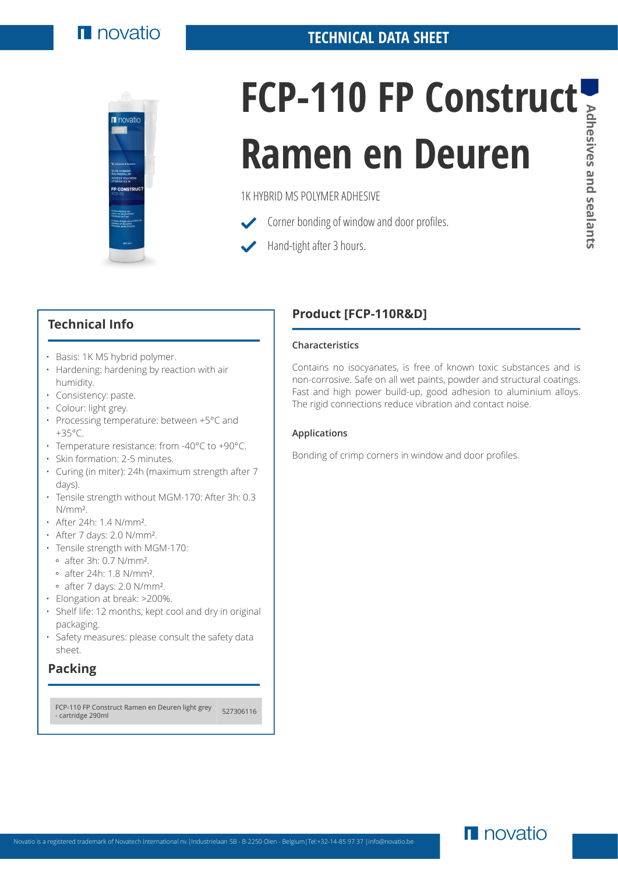

# **FCP-110 FP Construct Ramen en Deuren**

1K HYBRID MS POLYMER ADHESIVE

- Corner bonding of window and door profiles.
	- Hand-tight after 3 hours.

## **Technical Info**

- Basis: 1K MS hybrid polymer.
- Hardening: hardening by reaction with air humidity.
- Consistency: paste.
- Colour: light grey.
- Processing temperature: between +5°C and +35°C.
- Temperature resistance: from -40°C to +90°C.
- Skin formation: 2-5 minutes.
- Curing (in miter): 24h (maximum strength after 7 days).
- Tensile strength without MGM-170: After 3h: 0.3 N/mm².
- After 24h: 1.4 N/mm².
- After 7 days: 2.0 N/mm².
- Tensile strength with MGM-170:
	- after 3h: 0.7 N/mm².
	- after 24h: 1.8 N/mm².
	- after 7 days: 2.0 N/mm².
- Elongation at break: >200%.
- Shelf life: 12 months, kept cool and dry in original packaging.
- Safety measures: please consult the safety data sheet.

# **Packing**

FCP-110 FP Construct Ramen en Deuren light grey <br>- cartridge 290ml

# **Product [FCP-110R&D]**

### **Characteristics**

Contains no isocyanates, is free of known toxic substances and is non-corrosive. Safe on all wet paints, powder and structural coatings. Fast and high power build-up, good adhesion to aluminium alloys. The rigid connections reduce vibration and contact noise.

### **Applications**

Bonding of crimp corners in window and door profiles.